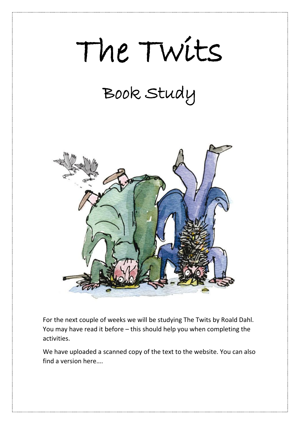# The Twits

## Book Study



For the next couple of weeks we will be studying The Twits by Roald Dahl. You may have read it before – this should help you when completing the activities. oul<br>the

We have uploaded a scanned copy of the text to the website. You can also find a version here….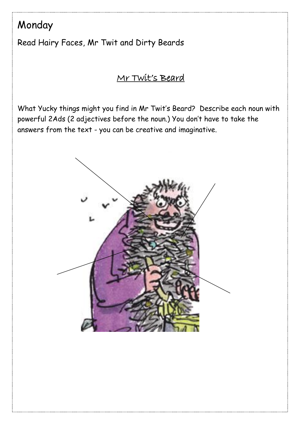### Monday

Read Hairy Faces, Mr Twit and Dirty Beards

#### Mr Twit's Beard

What Yucky things might you find in Mr Twit's Beard? Describe each noun with powerful 2Ads (2 adjectives before the noun.) You don't have to take the answers from the text - you can be creative and imaginative.

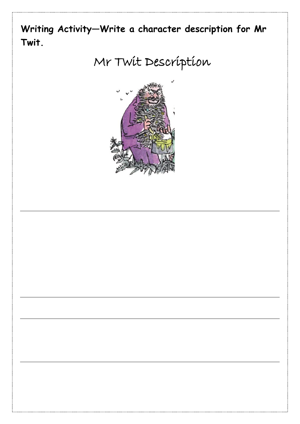

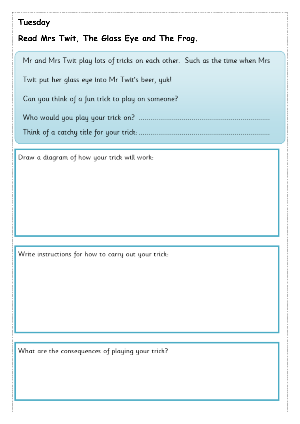#### **Tuesday**

**Read Mrs Twit, The Glass Eye and The Frog.** 

Mr and Mrs Twit play lots of tricks on each other. Such as the time when Mrs Twit put her glass eye into Mr Twit's beer, yuk! Can you think of a fun trick to play on someone? 

Draw a diagram of how your trick will work:

Write instructions for how to carry out your trick:

What are the consequences of playing your trick?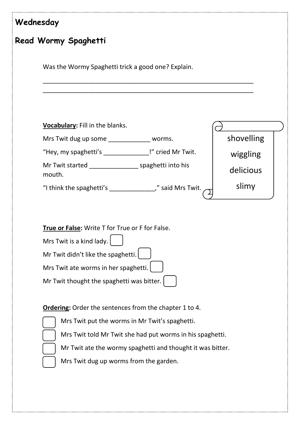| Wednesday |                                                                                                                                                                                                        |            |
|-----------|--------------------------------------------------------------------------------------------------------------------------------------------------------------------------------------------------------|------------|
|           | Read Wormy Spaghetti                                                                                                                                                                                   |            |
|           | Was the Wormy Spaghetti trick a good one? Explain.                                                                                                                                                     |            |
|           | Vocabulary: Fill in the blanks.                                                                                                                                                                        |            |
|           | Mrs Twit dug up some ______________ worms.                                                                                                                                                             | shovelling |
|           | "Hey, my spaghetti's _______________!" cried Mr Twit.                                                                                                                                                  | wiggling   |
|           | Mr Twit started ___________________ spaghetti into his<br>mouth.                                                                                                                                       | delicious  |
|           | "I think the spaghetti's _________________," said Mrs Twit.                                                                                                                                            | slimy      |
|           | True or False: Write T for True or F for False.<br>Mrs Twit is a kind lady.<br>Mr Twit didn't like the spaghetti.<br>Mrs Twit ate worms in her spaghetti.<br>Mr Twit thought the spaghetti was bitter. |            |
|           | <b>Ordering:</b> Order the sentences from the chapter 1 to 4.                                                                                                                                          |            |
|           | Mrs Twit put the worms in Mr Twit's spaghetti.                                                                                                                                                         |            |
|           | Mrs Twit told Mr Twit she had put worms in his spaghetti.                                                                                                                                              |            |
|           | Mr Twit ate the wormy spaghetti and thought it was bitter.                                                                                                                                             |            |
|           | Mrs Twit dug up worms from the garden.                                                                                                                                                                 |            |
|           |                                                                                                                                                                                                        |            |
|           |                                                                                                                                                                                                        |            |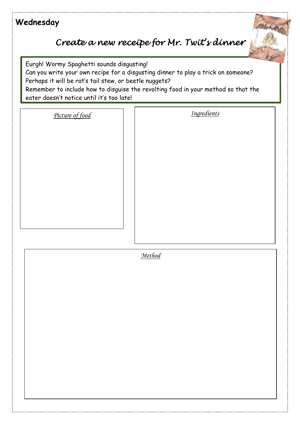#### **Wednesday**

#### *Create a new receipe for Mr. Twit's dinner*

Eurgh! Wormy Spaghetti sounds disgusting!

 Perhaps it will be rat's tail stew, or beetle nuggets? Can you write your own recipe for a disgusting dinner to play a trick on someone?

 Remember to include how to disguise the revolting food in your method so that the  eater doesn't notice until it's too late!

*Picture of food Ingredients*

 *Method*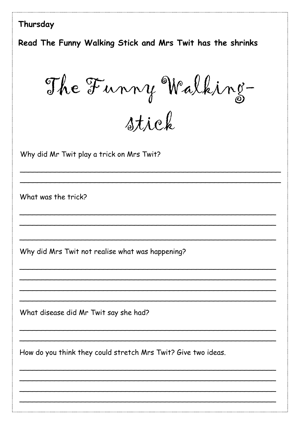#### Thursday

Read The Funny Walking Stick and Mrs Twit has the shrinks

The Funny Walking-

stick

Why did Mr Twit play a trick on Mrs Twit?

What was the trick?

Why did Mrs Twit not realise what was happening?

What disease did Mr Twit say she had?

How do you think they could stretch Mrs Twit? Give two ideas.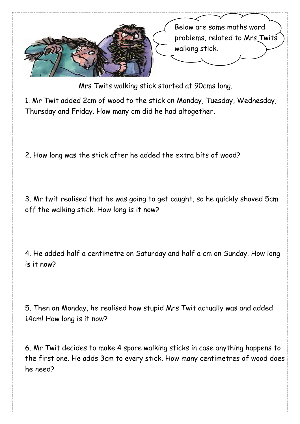

Mrs Twits walking stick started at 90cms long.

 Thursday and Friday. How many cm did he had altogether. 1. Mr Twit added 2cm of wood to the stick on Monday, Tuesday, Wednesday,

 2. How long was the stick after he added the extra bits of wood?

 3. Mr twit realised that he was going to get caught, so he quickly shaved 5cm off the walking stick. How long is it now?

 4. He added half a centimetre on Saturday and half a cm on Sunday. How long is it now?

 5. Then on Monday, he realised how stupid Mrs Twit actually was and added 14cm! How long is it now?

 the first one. He adds 3cm to every stick. How many centimetres of wood does 6. Mr Twit decides to make 4 spare walking sticks in case anything happens to he need?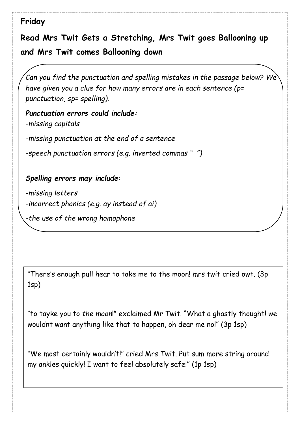#### **Friday**

 **Read Mrs Twit Gets a Stretching, Mrs Twit goes Ballooning up and Mrs Twit comes Ballooning down** 

*Can you find the punctuation and spelling mistakes in the passage below? We have given you a clue for how many errors are in each sentence (p= punctuation, sp= spelling).*

*Punctuation errors could include: -missing capitals*

*-missing punctuation at the end of a sentence*

*-speech punctuation errors (e.g. inverted commas " ")*

#### *Spelling errors may include:*

*-missing letters -incorrect phonics (e.g. ay instead of ai)*

*-the use of the wrong homophone*

"There's enough pull hear to take me to the moon! mrs twit cried owt. (3p 1sp)

"to tayke you to *the moon*!" exclaimed Mr Twit. "What a ghastly thought! we wouldnt want anything like that to happen, oh dear me no!" (3p 1sp)

"We most certainly wouldn't!" cried Mrs Twit. Put sum more string around my ankles quickly! I want to feel absolutely safe!" (1p 1sp)